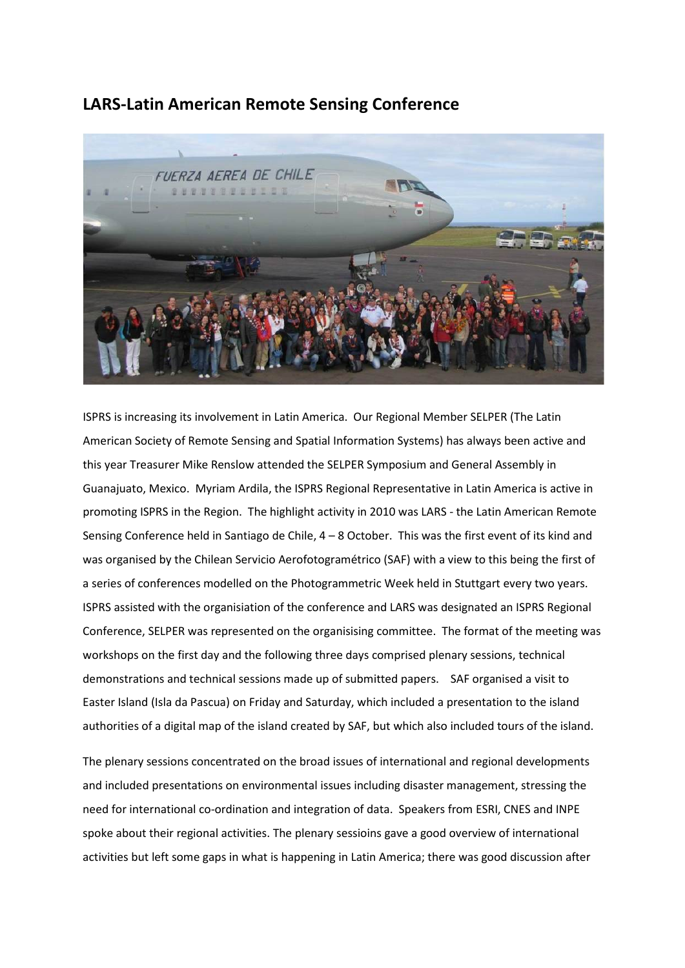## **LARS-Latin American Remote Sensing Conference**



ISPRS is increasing its involvement in Latin America. Our Regional Member SELPER (The Latin American Society of Remote Sensing and Spatial Information Systems) has always been active and this year Treasurer Mike Renslow attended the SELPER Symposium and General Assembly in Guanajuato, Mexico. Myriam Ardila, the ISPRS Regional Representative in Latin America is active in promoting ISPRS in the Region. The highlight activity in 2010 was LARS - the Latin American Remote Sensing Conference held in Santiago de Chile, 4 – 8 October. This was the first event of its kind and was organised by the Chilean Servicio Aerofotogramétrico (SAF) with a view to this being the first of a series of conferences modelled on the Photogrammetric Week held in Stuttgart every two years. ISPRS assisted with the organisiation of the conference and LARS was designated an ISPRS Regional Conference, SELPER was represented on the organisising committee. The format of the meeting was workshops on the first day and the following three days comprised plenary sessions, technical demonstrations and technical sessions made up of submitted papers. SAF organised a visit to Easter Island (Isla da Pascua) on Friday and Saturday, which included a presentation to the island authorities of a digital map of the island created by SAF, but which also included tours of the island.

The plenary sessions concentrated on the broad issues of international and regional developments and included presentations on environmental issues including disaster management, stressing the need for international co-ordination and integration of data. Speakers from ESRI, CNES and INPE spoke about their regional activities. The plenary sessioins gave a good overview of international activities but left some gaps in what is happening in Latin America; there was good discussion after